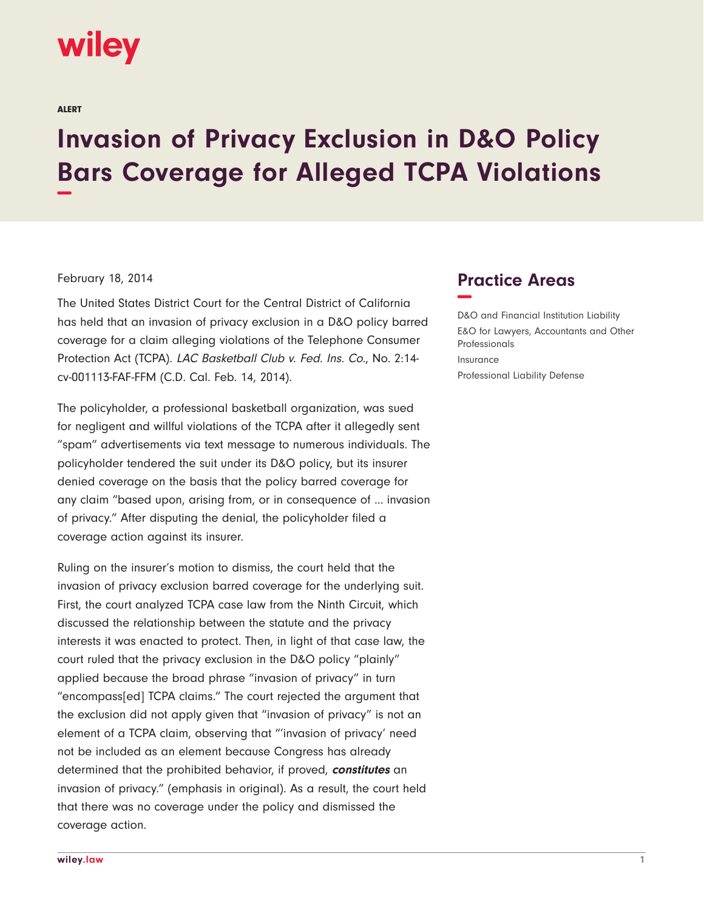

ALERT

## **Invasion of Privacy Exclusion in D&O Policy Bars Coverage for Alleged TCPA Violations −**

## February 18, 2014

The United States District Court for the Central District of California has held that an invasion of privacy exclusion in a D&O policy barred coverage for a claim alleging violations of the Telephone Consumer Protection Act (TCPA). LAC Basketball Club v. Fed. Ins. Co., No. 2:14 cv-001113-FAF-FFM (C.D. Cal. Feb. 14, 2014).

The policyholder, a professional basketball organization, was sued for negligent and willful violations of the TCPA after it allegedly sent "spam" advertisements via text message to numerous individuals. The policyholder tendered the suit under its D&O policy, but its insurer denied coverage on the basis that the policy barred coverage for any claim "based upon, arising from, or in consequence of … invasion of privacy." After disputing the denial, the policyholder filed a coverage action against its insurer.

Ruling on the insurer's motion to dismiss, the court held that the invasion of privacy exclusion barred coverage for the underlying suit. First, the court analyzed TCPA case law from the Ninth Circuit, which discussed the relationship between the statute and the privacy interests it was enacted to protect. Then, in light of that case law, the court ruled that the privacy exclusion in the D&O policy "plainly" applied because the broad phrase "invasion of privacy" in turn "encompass[ed] TCPA claims." The court rejected the argument that the exclusion did not apply given that "invasion of privacy" is not an element of a TCPA claim, observing that "'invasion of privacy' need not be included as an element because Congress has already determined that the prohibited behavior, if proved, **constitutes** an invasion of privacy." (emphasis in original). As a result, the court held that there was no coverage under the policy and dismissed the coverage action.

## **Practice Areas −**

D&O and Financial Institution Liability E&O for Lawyers, Accountants and Other Professionals Insurance Professional Liability Defense